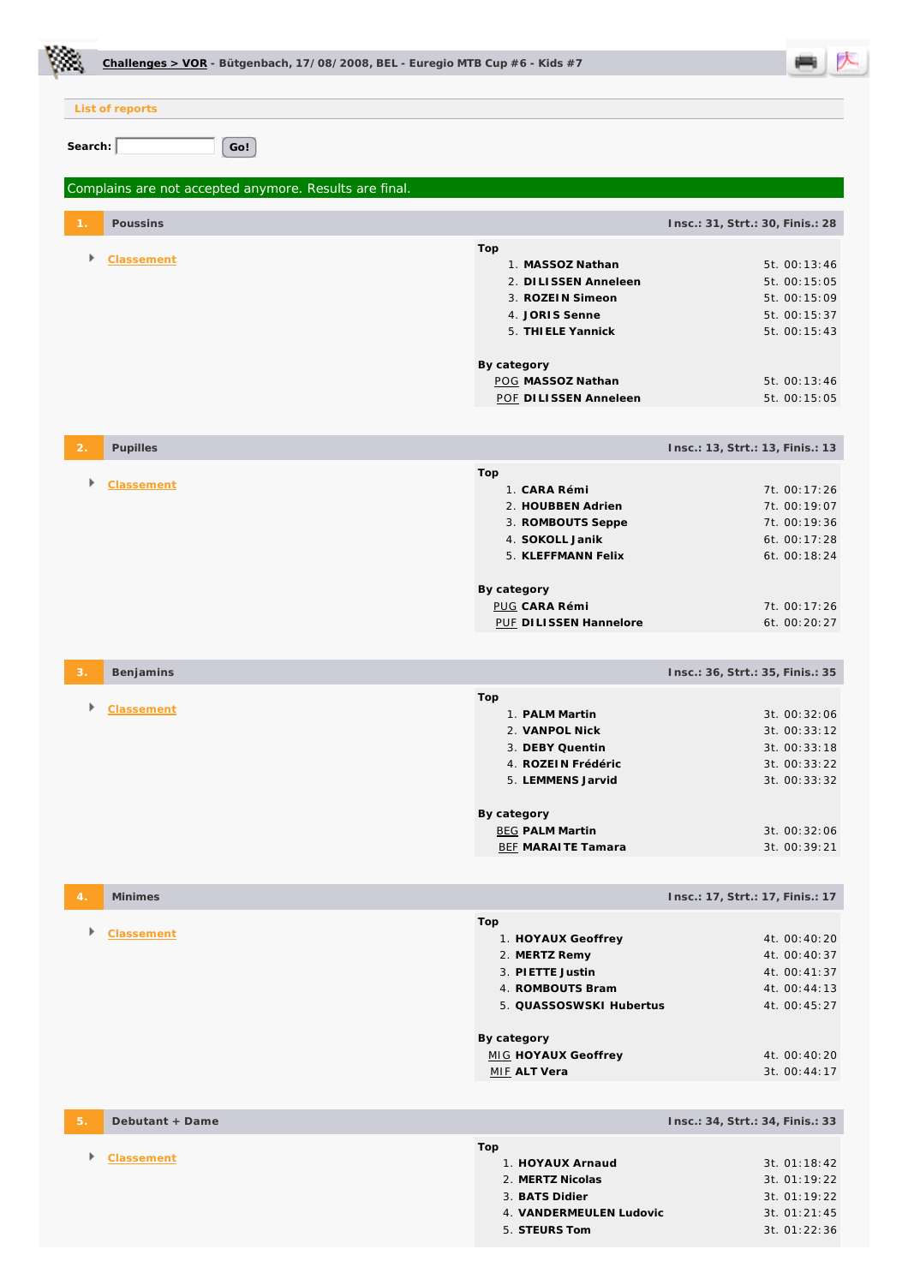| Challenges > VOR - Bütgenbach, 17/08/2008, BEL - Euregio MTB Cup #6 - Kids #7 |                                                                                                                                                                             |                                                                                                              |
|-------------------------------------------------------------------------------|-----------------------------------------------------------------------------------------------------------------------------------------------------------------------------|--------------------------------------------------------------------------------------------------------------|
| List of reports                                                               |                                                                                                                                                                             |                                                                                                              |
| Search:<br>Go!                                                                |                                                                                                                                                                             |                                                                                                              |
|                                                                               |                                                                                                                                                                             |                                                                                                              |
| Complains are not accepted anymore. Results are final.                        |                                                                                                                                                                             |                                                                                                              |
| Poussins                                                                      |                                                                                                                                                                             | Insc.: 31, Strt.: 30, Finis.: 28                                                                             |
| Classement<br>Þ                                                               | Top<br>1. MASSOZ Nathan<br>2. DILISSEN Anneleen<br>3. ROZEIN Simeon<br>4. JORIS Senne<br>5. THI ELE Yannick                                                                 | 5t. 00:13:46<br>5t. 00:15:05<br>5t. 00:15:09<br>5t. 00:15:37<br>5t. 00:15:43                                 |
|                                                                               | By category<br>POG MASSOZ Nathan<br>POF DILISSEN Anneleen                                                                                                                   | 5t. 00:13:46<br>5t. 00:15:05                                                                                 |
| Pupilles<br>$\overline{2}$                                                    |                                                                                                                                                                             | Insc.: 13, Strt.: 13, Finis.: 13                                                                             |
| Classement                                                                    | Top<br>1. CARA Rémi<br>2. HOUBBEN Adrien<br>3. ROMBOUTS Seppe<br>4. SOKOLL Janik<br>5. KLEFFMANN Felix<br>By category<br><b>PUG CARA Rémi</b><br>PUF DILISSEN Hannelore     | 7t. 00:17:26<br>7t. 00:19:07<br>7t. 00:19:36<br>6t. 00:17:28<br>6t. 00:18:24<br>7t. 00:17:26<br>6t. 00:20:27 |
| Benjamins<br>3.                                                               |                                                                                                                                                                             | Insc.: 36, Strt.: 35, Finis.: 35                                                                             |
| <b>Classement</b>                                                             | Top<br>1. PALM Martin<br>2. VANPOL Nick<br>3. DEBY Quentin<br>4. ROZEIN Frédéric<br>5. LEMMENS Jarvid<br>By category<br><b>BEG PALM Martin</b><br><b>BEF MARAITE Tamara</b> | 3t. 00:32:06<br>3t. 00:33:12<br>3t. 00:33:18<br>3t. 00:33:22<br>3t. 00:33:32<br>3t. 00:32:06<br>3t. 00:39:21 |
| Minimes<br>4.                                                                 |                                                                                                                                                                             | Insc.: 17, Strt.: 17, Finis.: 17                                                                             |
| Classement                                                                    | Top<br>1. HOYAUX Geoffrey<br>2. MERTZ Remy<br>3. PIETTE Justin<br>4. ROMBOUTS Bram<br>5. QUASSOSWSKI Hubertus<br>By category<br>MIG HOYAUX Geoffrey<br>MIE ALT Vera         | 4t. 00:40:20<br>4t. 00:40:37<br>4t. 00:41:37<br>4t. 00:44:13<br>4t. 00:45:27<br>4t. 00:40:20<br>3t. 00:44:17 |
| 5.<br>Debutant + Dame                                                         |                                                                                                                                                                             | Insc.: 34, Strt.: 34, Finis.: 33                                                                             |
| Þ.<br>Classement                                                              | Top<br>1. HOYAUX Arnaud<br>2. MERTZ Nicolas<br>3. BATS Didier<br>4. VANDERMEULEN Ludovic<br>5. STEURS Tom                                                                   | 3t. 01:18:42<br>3t. 01:19:22<br>3t. 01:19:22<br>3t. 01:21:45<br>3t. 01:22:36                                 |